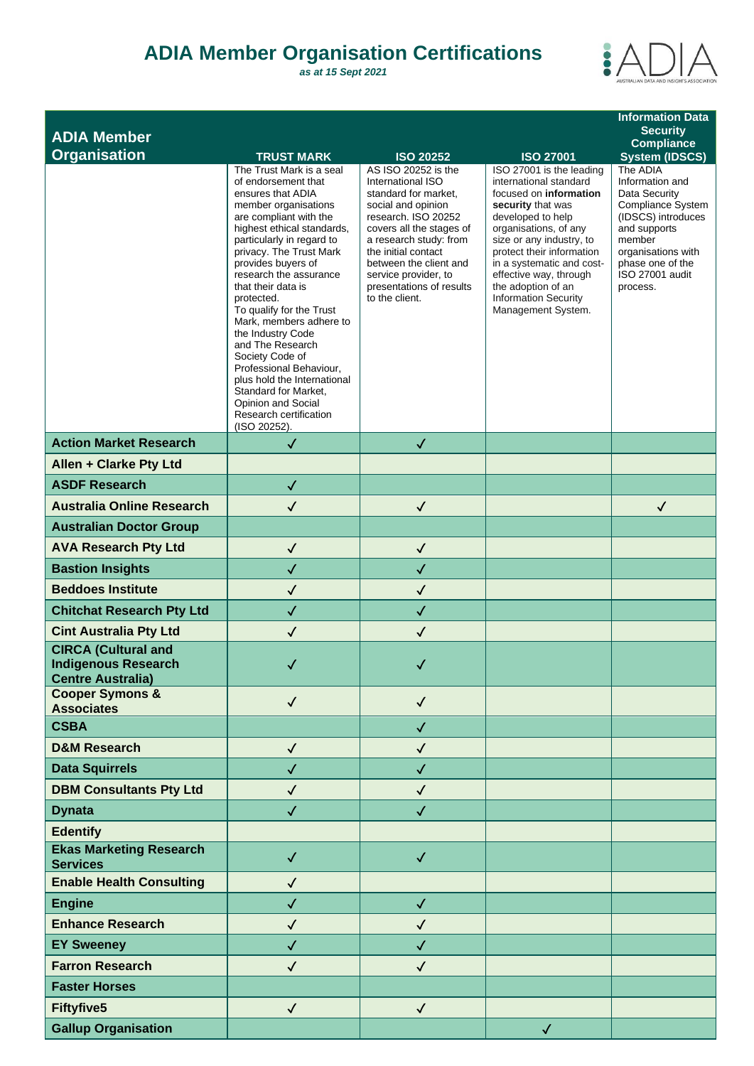## **ADIA Member Organisation Certifications**

*as at 15 Sept 2021*



|                                                             |                                                         |                                                    |                                                     | <b>Information Data</b>              |
|-------------------------------------------------------------|---------------------------------------------------------|----------------------------------------------------|-----------------------------------------------------|--------------------------------------|
| <b>ADIA Member</b>                                          |                                                         |                                                    |                                                     | <b>Security</b><br><b>Compliance</b> |
| <b>Organisation</b>                                         | <b>TRUST MARK</b>                                       | <b>ISO 20252</b>                                   | <b>ISO 27001</b>                                    | <b>System (IDSCS)</b>                |
|                                                             | The Trust Mark is a seal<br>of endorsement that         | AS ISO 20252 is the<br>International ISO           | ISO 27001 is the leading<br>international standard  | The ADIA<br>Information and          |
|                                                             | ensures that ADIA<br>member organisations               | standard for market,<br>social and opinion         | focused on information<br>security that was         | Data Security<br>Compliance System   |
|                                                             | are compliant with the                                  | research. ISO 20252                                | developed to help                                   | (IDSCS) introduces                   |
|                                                             | highest ethical standards,<br>particularly in regard to | covers all the stages of<br>a research study: from | organisations, of any<br>size or any industry, to   | and supports<br>member               |
|                                                             | privacy. The Trust Mark                                 | the initial contact                                | protect their information                           | organisations with                   |
|                                                             | provides buyers of<br>research the assurance            | between the client and<br>service provider, to     | in a systematic and cost-<br>effective way, through | phase one of the<br>ISO 27001 audit  |
|                                                             | that their data is<br>protected.                        | presentations of results<br>to the client.         | the adoption of an<br><b>Information Security</b>   | process.                             |
|                                                             | To qualify for the Trust                                |                                                    | Management System.                                  |                                      |
|                                                             | Mark, members adhere to<br>the Industry Code            |                                                    |                                                     |                                      |
|                                                             | and The Research<br>Society Code of                     |                                                    |                                                     |                                      |
|                                                             | Professional Behaviour,                                 |                                                    |                                                     |                                      |
|                                                             | plus hold the International<br>Standard for Market,     |                                                    |                                                     |                                      |
|                                                             | Opinion and Social<br>Research certification            |                                                    |                                                     |                                      |
|                                                             | (ISO 20252).                                            |                                                    |                                                     |                                      |
| <b>Action Market Research</b>                               | $\checkmark$                                            | $\checkmark$                                       |                                                     |                                      |
| Allen + Clarke Pty Ltd                                      |                                                         |                                                    |                                                     |                                      |
| <b>ASDF Research</b>                                        | $\checkmark$                                            |                                                    |                                                     |                                      |
| <b>Australia Online Research</b>                            | $\checkmark$                                            | $\checkmark$                                       |                                                     | $\checkmark$                         |
| <b>Australian Doctor Group</b>                              |                                                         |                                                    |                                                     |                                      |
| <b>AVA Research Pty Ltd</b>                                 | $\checkmark$                                            | $\checkmark$                                       |                                                     |                                      |
| <b>Bastion Insights</b>                                     | $\checkmark$                                            | $\checkmark$                                       |                                                     |                                      |
| <b>Beddoes Institute</b>                                    | $\checkmark$                                            | $\checkmark$                                       |                                                     |                                      |
| <b>Chitchat Research Pty Ltd</b>                            | $\checkmark$                                            | $\checkmark$                                       |                                                     |                                      |
| <b>Cint Australia Pty Ltd</b><br><b>CIRCA (Cultural and</b> | $\checkmark$                                            | $\checkmark$                                       |                                                     |                                      |
| <b>Indigenous Research</b>                                  | ✓                                                       | ✓                                                  |                                                     |                                      |
| <b>Centre Australia)</b>                                    |                                                         |                                                    |                                                     |                                      |
| <b>Cooper Symons &amp;</b><br><b>Associates</b>             | $\checkmark$                                            | $\checkmark$                                       |                                                     |                                      |
| <b>CSBA</b>                                                 |                                                         | $\checkmark$                                       |                                                     |                                      |
| <b>D&amp;M Research</b>                                     | $\checkmark$                                            | $\checkmark$                                       |                                                     |                                      |
| <b>Data Squirrels</b>                                       | $\checkmark$                                            | $\checkmark$                                       |                                                     |                                      |
| <b>DBM Consultants Pty Ltd</b>                              | $\checkmark$                                            | $\checkmark$                                       |                                                     |                                      |
| <b>Dynata</b>                                               | $\checkmark$                                            | $\checkmark$                                       |                                                     |                                      |
| <b>Edentify</b>                                             |                                                         |                                                    |                                                     |                                      |
| <b>Ekas Marketing Research</b><br><b>Services</b>           | $\checkmark$                                            | $\checkmark$                                       |                                                     |                                      |
| <b>Enable Health Consulting</b>                             | $\checkmark$                                            |                                                    |                                                     |                                      |
| <b>Engine</b>                                               | $\checkmark$                                            | $\checkmark$                                       |                                                     |                                      |
| <b>Enhance Research</b>                                     | $\checkmark$                                            | $\checkmark$                                       |                                                     |                                      |
| <b>EY Sweeney</b>                                           | $\checkmark$                                            | $\checkmark$                                       |                                                     |                                      |
| <b>Farron Research</b>                                      | $\checkmark$                                            | $\checkmark$                                       |                                                     |                                      |
| <b>Faster Horses</b>                                        |                                                         |                                                    |                                                     |                                      |
| <b>Fiftyfive5</b>                                           | $\checkmark$                                            | $\checkmark$                                       |                                                     |                                      |
| <b>Gallup Organisation</b>                                  |                                                         |                                                    | $\checkmark$                                        |                                      |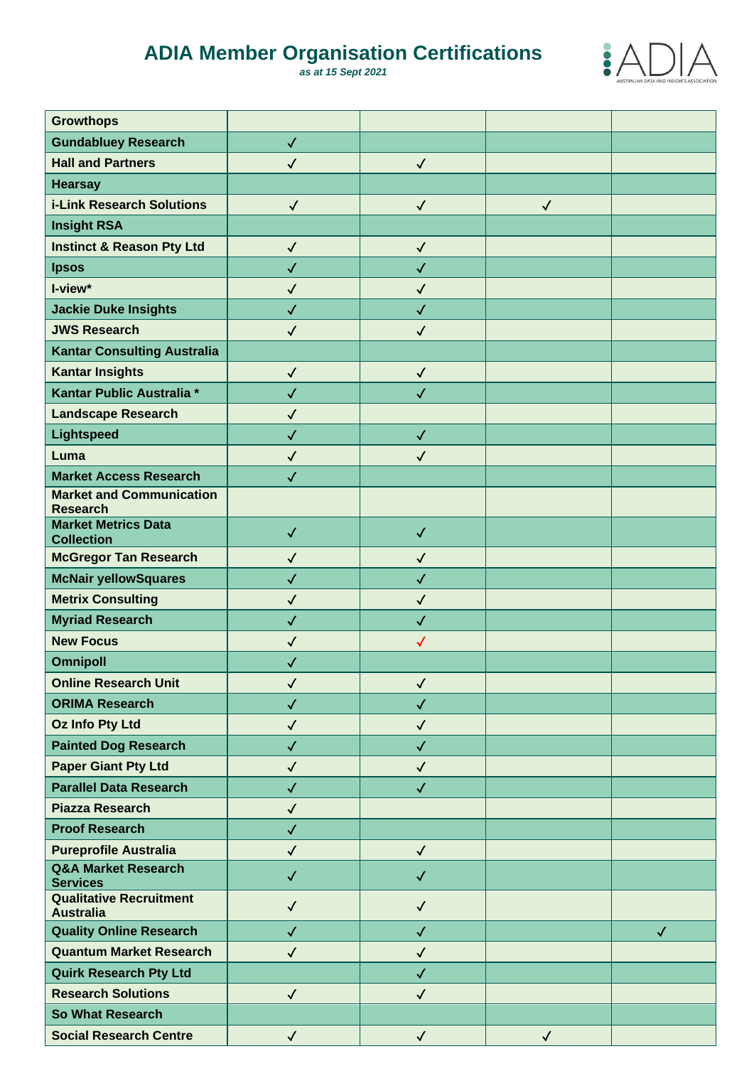## **ADIA Member Organisation Certifications**

*as at 15 Sept 2021*



| <b>Growthops</b>                                   |              |              |              |              |
|----------------------------------------------------|--------------|--------------|--------------|--------------|
| <b>Gundabluey Research</b>                         | $\checkmark$ |              |              |              |
| <b>Hall and Partners</b>                           | $\checkmark$ | $\checkmark$ |              |              |
| <b>Hearsay</b>                                     |              |              |              |              |
| <b>i-Link Research Solutions</b>                   | $\checkmark$ | $\checkmark$ | $\checkmark$ |              |
| <b>Insight RSA</b>                                 |              |              |              |              |
| <b>Instinct &amp; Reason Pty Ltd</b>               | $\checkmark$ | $\checkmark$ |              |              |
| <b>Ipsos</b>                                       | $\checkmark$ | $\checkmark$ |              |              |
| I-view*                                            | $\checkmark$ | $\checkmark$ |              |              |
| <b>Jackie Duke Insights</b>                        | $\checkmark$ | $\checkmark$ |              |              |
| <b>JWS Research</b>                                | $\checkmark$ | $\checkmark$ |              |              |
| <b>Kantar Consulting Australia</b>                 |              |              |              |              |
| <b>Kantar Insights</b>                             | $\checkmark$ | $\checkmark$ |              |              |
| Kantar Public Australia *                          | $\checkmark$ | $\checkmark$ |              |              |
| <b>Landscape Research</b>                          | $\checkmark$ |              |              |              |
| <b>Lightspeed</b>                                  | $\checkmark$ | $\checkmark$ |              |              |
| Luma                                               | $\checkmark$ | $\checkmark$ |              |              |
| <b>Market Access Research</b>                      | $\checkmark$ |              |              |              |
| <b>Market and Communication</b><br><b>Research</b> |              |              |              |              |
| <b>Market Metrics Data</b><br><b>Collection</b>    | $\checkmark$ | $\checkmark$ |              |              |
| <b>McGregor Tan Research</b>                       | $\checkmark$ | $\checkmark$ |              |              |
| <b>McNair yellowSquares</b>                        | $\checkmark$ | $\checkmark$ |              |              |
| <b>Metrix Consulting</b>                           | $\checkmark$ | $\checkmark$ |              |              |
| <b>Myriad Research</b>                             | $\checkmark$ | $\checkmark$ |              |              |
| <b>New Focus</b>                                   | $\checkmark$ | $\checkmark$ |              |              |
| <b>Omnipoll</b>                                    | $\checkmark$ |              |              |              |
| <b>Online Research Unit</b>                        | $\checkmark$ | $\checkmark$ |              |              |
| <b>ORIMA Research</b>                              | $\checkmark$ | $\checkmark$ |              |              |
| <b>Oz Info Pty Ltd</b>                             | $\checkmark$ | $\checkmark$ |              |              |
| <b>Painted Dog Research</b>                        | $\checkmark$ | $\checkmark$ |              |              |
| <b>Paper Giant Pty Ltd</b>                         | $\checkmark$ | $\checkmark$ |              |              |
| <b>Parallel Data Research</b>                      | $\checkmark$ | $\checkmark$ |              |              |
| <b>Piazza Research</b>                             | $\checkmark$ |              |              |              |
| <b>Proof Research</b>                              | $\checkmark$ |              |              |              |
| <b>Pureprofile Australia</b>                       | $\checkmark$ | $\checkmark$ |              |              |
| <b>Q&amp;A Market Research</b><br><b>Services</b>  | $\checkmark$ | $\checkmark$ |              |              |
| <b>Qualitative Recruitment</b><br><b>Australia</b> | $\checkmark$ | $\checkmark$ |              |              |
| <b>Quality Online Research</b>                     | $\checkmark$ | $\checkmark$ |              | $\checkmark$ |
| <b>Quantum Market Research</b>                     | $\checkmark$ | $\checkmark$ |              |              |
| <b>Quirk Research Pty Ltd</b>                      |              | $\checkmark$ |              |              |
| <b>Research Solutions</b>                          | $\sqrt{2}$   | $\checkmark$ |              |              |
| <b>So What Research</b>                            |              |              |              |              |
| <b>Social Research Centre</b>                      | $\checkmark$ | $\checkmark$ | $\checkmark$ |              |